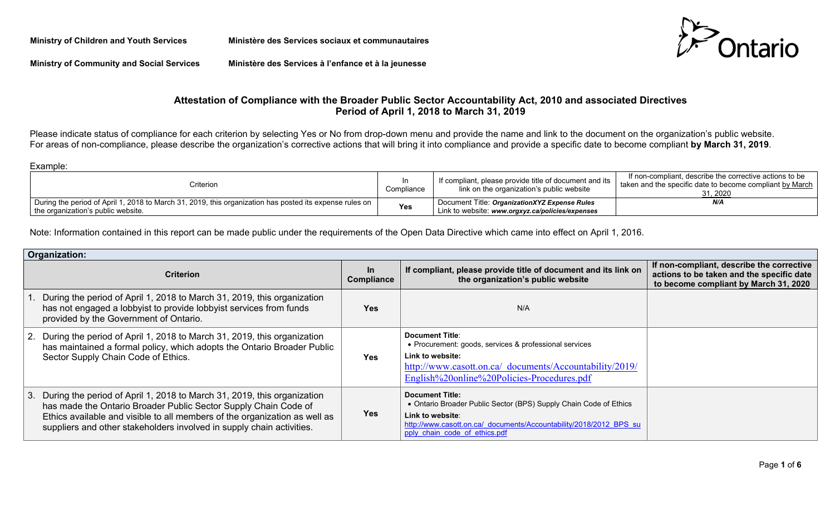**Ministry of Children and Youth Services Ministère des Services sociaux et communautaires**



**Ministry of Community and Social Services Ministère des Services à l'enfance et à la jeunesse**

# **Attestation of Compliance with the Broader Public Sector Accountability Act, 2010 and associated Directives Period of April 1, 2018 to March 31, 2019**

Please indicate status of compliance for each criterion by selecting Yes or No from drop-down menu and provide the name and link to the document on the organization's public website. For areas of non-compliance, please describe the organization's corrective actions that will bring it into compliance and provide a specific date to become compliant **by March 31, 2019**.

Example:

| Criterion                                                                                                                                                 | Compliance | If compliant, please provide title of document and its<br>link on the organization's public website | If non-compliant, describe the corrective actions to be<br>taken and the specific date to become compliant by March<br>31.2020 |
|-----------------------------------------------------------------------------------------------------------------------------------------------------------|------------|-----------------------------------------------------------------------------------------------------|--------------------------------------------------------------------------------------------------------------------------------|
| $\,$ During the period of April 1, 2018 to March 31, 2019, this organization has posted its expense rules on $\,$  <br>the organization's public website. | <b>Yes</b> | Document Title: OrganizationXYZ Expense Rules<br>Link to website: www.orgxyz.ca/policies/expenses   | N/A                                                                                                                            |

Note: Information contained in this report can be made public under the requirements of the Open Data Directive which came into effect on April 1, 2016.

| Organization: |                                                                                                                                                                                                                                                                                                      |                         |                                                                                                                                                                                                                        |                                                                                                                                 |
|---------------|------------------------------------------------------------------------------------------------------------------------------------------------------------------------------------------------------------------------------------------------------------------------------------------------------|-------------------------|------------------------------------------------------------------------------------------------------------------------------------------------------------------------------------------------------------------------|---------------------------------------------------------------------------------------------------------------------------------|
|               | <b>Criterion</b>                                                                                                                                                                                                                                                                                     | <u>In</u><br>Compliance | If compliant, please provide title of document and its link on<br>the organization's public website                                                                                                                    | If non-compliant, describe the corrective<br>actions to be taken and the specific date<br>to become compliant by March 31, 2020 |
|               | During the period of April 1, 2018 to March 31, 2019, this organization<br>has not engaged a lobbyist to provide lobbyist services from funds<br>provided by the Government of Ontario.                                                                                                              | <b>Yes</b>              | N/A                                                                                                                                                                                                                    |                                                                                                                                 |
|               | 2. During the period of April 1, 2018 to March 31, 2019, this organization<br>has maintained a formal policy, which adopts the Ontario Broader Public<br>Sector Supply Chain Code of Ethics.                                                                                                         | <b>Yes</b>              | <b>Document Title:</b><br>• Procurement: goods, services & professional services<br>Link to website:<br>http://www.casott.on.ca/ documents/Accountability/2019/<br>English%20online%20Policies-Procedures.pdf          |                                                                                                                                 |
|               | 3. During the period of April 1, 2018 to March 31, 2019, this organization<br>has made the Ontario Broader Public Sector Supply Chain Code of<br>Ethics available and visible to all members of the organization as well as<br>suppliers and other stakeholders involved in supply chain activities. | <b>Yes</b>              | <b>Document Title:</b><br>• Ontario Broader Public Sector (BPS) Supply Chain Code of Ethics<br>Link to website:<br>http://www.casott.on.ca/ documents/Accountability/2018/2012 BPS su<br>pply chain code of ethics.pdf |                                                                                                                                 |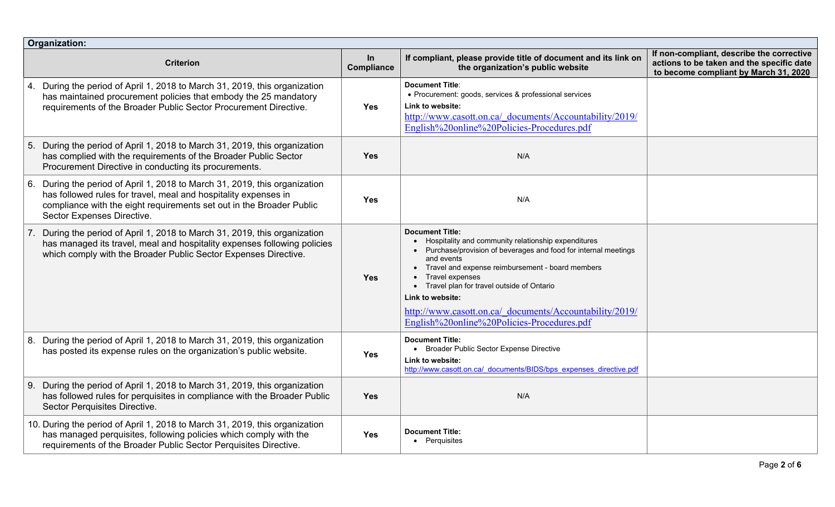| Organization: |                                                                                                                                                                                                                                                  |                  |                                                                                                                                                                                                                                                                                                                                                                                                                      |                                                                                                                                 |
|---------------|--------------------------------------------------------------------------------------------------------------------------------------------------------------------------------------------------------------------------------------------------|------------------|----------------------------------------------------------------------------------------------------------------------------------------------------------------------------------------------------------------------------------------------------------------------------------------------------------------------------------------------------------------------------------------------------------------------|---------------------------------------------------------------------------------------------------------------------------------|
|               | <b>Criterion</b>                                                                                                                                                                                                                                 | In<br>Compliance | If compliant, please provide title of document and its link on<br>the organization's public website                                                                                                                                                                                                                                                                                                                  | If non-compliant, describe the corrective<br>actions to be taken and the specific date<br>to become compliant by March 31, 2020 |
| 4.            | During the period of April 1, 2018 to March 31, 2019, this organization<br>has maintained procurement policies that embody the 25 mandatory<br>requirements of the Broader Public Sector Procurement Directive.                                  | <b>Yes</b>       | <b>Document Title:</b><br>• Procurement: goods, services & professional services<br>Link to website:<br>http://www.casott.on.ca/ documents/Accountability/2019/<br>English%20online%20Policies-Procedures.pdf                                                                                                                                                                                                        |                                                                                                                                 |
| 5.            | During the period of April 1, 2018 to March 31, 2019, this organization<br>has complied with the requirements of the Broader Public Sector<br>Procurement Directive in conducting its procurements.                                              | <b>Yes</b>       | N/A                                                                                                                                                                                                                                                                                                                                                                                                                  |                                                                                                                                 |
| 6.            | During the period of April 1, 2018 to March 31, 2019, this organization<br>has followed rules for travel, meal and hospitality expenses in<br>compliance with the eight requirements set out in the Broader Public<br>Sector Expenses Directive. | <b>Yes</b>       | N/A                                                                                                                                                                                                                                                                                                                                                                                                                  |                                                                                                                                 |
|               | During the period of April 1, 2018 to March 31, 2019, this organization<br>has managed its travel, meal and hospitality expenses following policies<br>which comply with the Broader Public Sector Expenses Directive.                           | <b>Yes</b>       | <b>Document Title:</b><br>Hospitality and community relationship expenditures<br>• Purchase/provision of beverages and food for internal meetings<br>and events<br>• Travel and expense reimbursement - board members<br>Travel expenses<br>• Travel plan for travel outside of Ontario<br>Link to website:<br>http://www.casott.on.ca/ documents/Accountability/2019/<br>English%20online%20Policies-Procedures.pdf |                                                                                                                                 |
| 8.            | During the period of April 1, 2018 to March 31, 2019, this organization<br>has posted its expense rules on the organization's public website.                                                                                                    | <b>Yes</b>       | <b>Document Title:</b><br><b>Broader Public Sector Expense Directive</b><br>Link to website:<br>http://www.casott.on.ca/ documents/BIDS/bps expenses directive.pdf                                                                                                                                                                                                                                                   |                                                                                                                                 |
| 9.            | During the period of April 1, 2018 to March 31, 2019, this organization<br>has followed rules for perquisites in compliance with the Broader Public<br>Sector Perquisites Directive.                                                             | <b>Yes</b>       | N/A                                                                                                                                                                                                                                                                                                                                                                                                                  |                                                                                                                                 |
|               | 10. During the period of April 1, 2018 to March 31, 2019, this organization<br>has managed perquisites, following policies which comply with the<br>requirements of the Broader Public Sector Perquisites Directive.                             | <b>Yes</b>       | <b>Document Title:</b><br>• Perquisites                                                                                                                                                                                                                                                                                                                                                                              |                                                                                                                                 |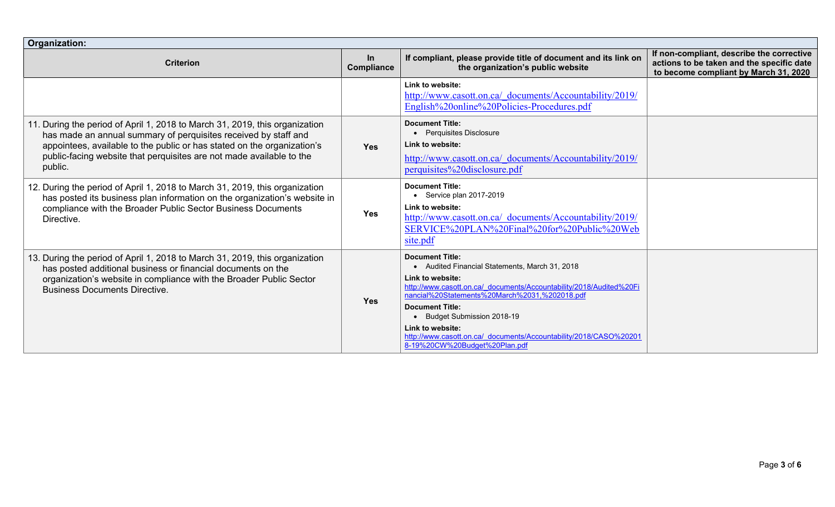| Organization:                                                                                                                                                                                                                                                                                                |                         |                                                                                                                                                                                                                                                                                                                                                                                                              |                                                                                                                                 |
|--------------------------------------------------------------------------------------------------------------------------------------------------------------------------------------------------------------------------------------------------------------------------------------------------------------|-------------------------|--------------------------------------------------------------------------------------------------------------------------------------------------------------------------------------------------------------------------------------------------------------------------------------------------------------------------------------------------------------------------------------------------------------|---------------------------------------------------------------------------------------------------------------------------------|
| <b>Criterion</b>                                                                                                                                                                                                                                                                                             | In<br><b>Compliance</b> | If compliant, please provide title of document and its link on<br>the organization's public website                                                                                                                                                                                                                                                                                                          | If non-compliant, describe the corrective<br>actions to be taken and the specific date<br>to become compliant by March 31, 2020 |
|                                                                                                                                                                                                                                                                                                              |                         | Link to website:<br>http://www.casott.on.ca/ documents/Accountability/2019/<br>English%20online%20Policies-Procedures.pdf                                                                                                                                                                                                                                                                                    |                                                                                                                                 |
| 11. During the period of April 1, 2018 to March 31, 2019, this organization<br>has made an annual summary of perquisites received by staff and<br>appointees, available to the public or has stated on the organization's<br>public-facing website that perquisites are not made available to the<br>public. | <b>Yes</b>              | <b>Document Title:</b><br>• Perquisites Disclosure<br>Link to website:<br>http://www.casott.on.ca/ documents/Accountability/2019/<br>perquisites%20disclosure.pdf                                                                                                                                                                                                                                            |                                                                                                                                 |
| 12. During the period of April 1, 2018 to March 31, 2019, this organization<br>has posted its business plan information on the organization's website in<br>compliance with the Broader Public Sector Business Documents<br>Directive.                                                                       | <b>Yes</b>              | <b>Document Title:</b><br>$\bullet$ Service plan 2017-2019<br>Link to website:<br>http://www.casott.on.ca/ documents/Accountability/2019/<br>SERVICE%20PLAN%20Final%20for%20Public%20Web<br>site.pdf                                                                                                                                                                                                         |                                                                                                                                 |
| 13. During the period of April 1, 2018 to March 31, 2019, this organization<br>has posted additional business or financial documents on the<br>organization's website in compliance with the Broader Public Sector<br><b>Business Documents Directive.</b>                                                   | <b>Yes</b>              | <b>Document Title:</b><br>• Audited Financial Statements, March 31, 2018<br>Link to website:<br>http://www.casott.on.ca/ documents/Accountability/2018/Audited%20Fi<br>nancial%20Statements%20March%2031,%202018.pdf<br><b>Document Title:</b><br><b>Budget Submission 2018-19</b><br>Link to website:<br>http://www.casott.on.ca/ documents/Accountability/2018/CASO%20201<br>8-19%20CW%20Budget%20Plan.pdf |                                                                                                                                 |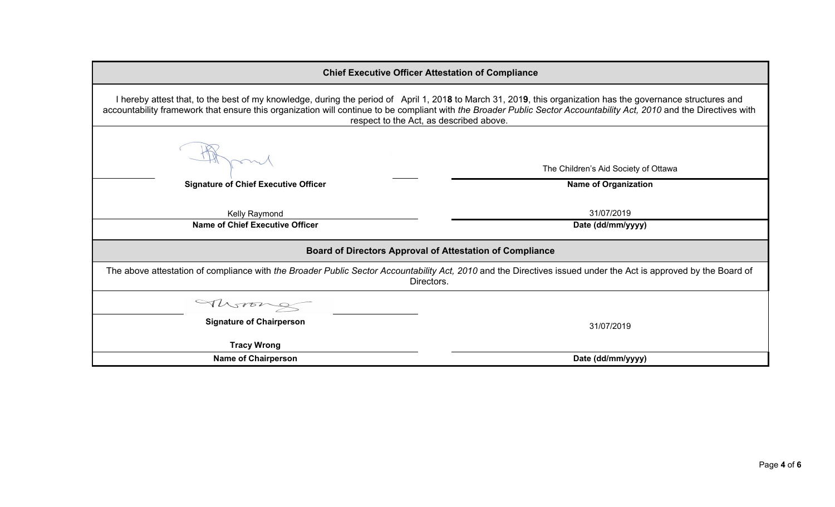| <b>Chief Executive Officer Attestation of Compliance</b>                                                                                                                                                                                                                                                                                                                        |                                      |  |
|---------------------------------------------------------------------------------------------------------------------------------------------------------------------------------------------------------------------------------------------------------------------------------------------------------------------------------------------------------------------------------|--------------------------------------|--|
| I hereby attest that, to the best of my knowledge, during the period of April 1, 2018 to March 31, 2019, this organization has the governance structures and<br>accountability framework that ensure this organization will continue to be compliant with the Broader Public Sector Accountability Act, 2010 and the Directives with<br>respect to the Act, as described above. |                                      |  |
|                                                                                                                                                                                                                                                                                                                                                                                 | The Children's Aid Society of Ottawa |  |
| <b>Signature of Chief Executive Officer</b>                                                                                                                                                                                                                                                                                                                                     | <b>Name of Organization</b>          |  |
| Kelly Raymond                                                                                                                                                                                                                                                                                                                                                                   | 31/07/2019                           |  |
| <b>Name of Chief Executive Officer</b>                                                                                                                                                                                                                                                                                                                                          | Date (dd/mm/yyyy)                    |  |
| <b>Board of Directors Approval of Attestation of Compliance</b>                                                                                                                                                                                                                                                                                                                 |                                      |  |
| The above attestation of compliance with the Broader Public Sector Accountability Act, 2010 and the Directives issued under the Act is approved by the Board of<br>Directors.                                                                                                                                                                                                   |                                      |  |
| Morong                                                                                                                                                                                                                                                                                                                                                                          |                                      |  |
| <b>Signature of Chairperson</b>                                                                                                                                                                                                                                                                                                                                                 | 31/07/2019                           |  |
| <b>Tracy Wrong</b>                                                                                                                                                                                                                                                                                                                                                              |                                      |  |
| <b>Name of Chairperson</b>                                                                                                                                                                                                                                                                                                                                                      | Date (dd/mm/yyyy)                    |  |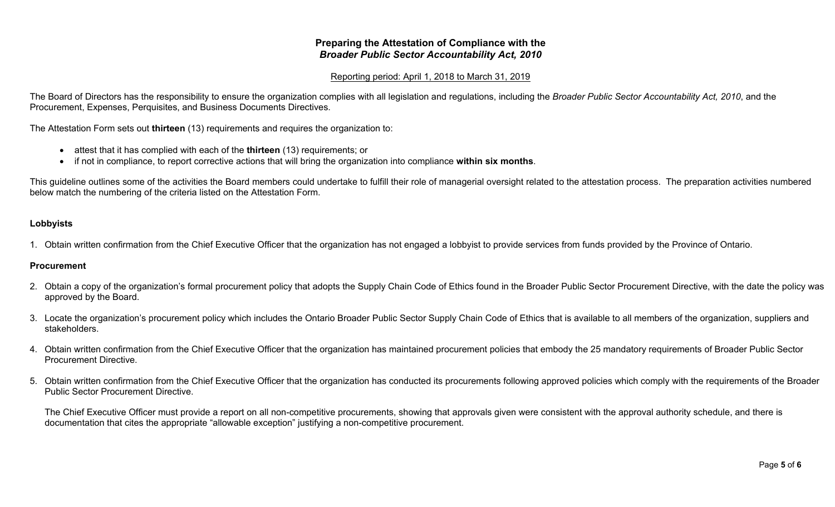## **Preparing the Attestation of Compliance with the**  *Broader Public Sector Accountability Act, 2010*

## Reporting period: April 1, 2018 to March 31, 2019

The Board of Directors has the responsibility to ensure the organization complies with all legislation and regulations, including the *Broader Public Sector Accountability Act, 2010*, and the Procurement, Expenses, Perquisites, and Business Documents Directives.

The Attestation Form sets out **thirteen** (13) requirements and requires the organization to:

- attest that it has complied with each of the **thirteen** (13) requirements; or
- if not in compliance, to report corrective actions that will bring the organization into compliance **within six months**.

This guideline outlines some of the activities the Board members could undertake to fulfill their role of managerial oversight related to the attestation process. The preparation activities numbered below match the numbering of the criteria listed on the Attestation Form.

## **Lobbyists**

1. Obtain written confirmation from the Chief Executive Officer that the organization has not engaged a lobbyist to provide services from funds provided by the Province of Ontario.

## **Procurement**

- 2. Obtain a copy of the organization's formal procurement policy that adopts the Supply Chain Code of Ethics found in the Broader Public Sector Procurement Directive, with the date the policy was approved by the Board.
- 3. Locate the organization's procurement policy which includes the Ontario Broader Public Sector Supply Chain Code of Ethics that is available to all members of the organization, suppliers and stakeholders.
- 4. Obtain written confirmation from the Chief Executive Officer that the organization has maintained procurement policies that embody the 25 mandatory requirements of Broader Public Sector Procurement Directive.
- 5. Obtain written confirmation from the Chief Executive Officer that the organization has conducted its procurements following approved policies which comply with the requirements of the Broader Public Sector Procurement Directive.

The Chief Executive Officer must provide a report on all non-competitive procurements, showing that approvals given were consistent with the approval authority schedule, and there is documentation that cites the appropriate "allowable exception" justifying a non-competitive procurement.